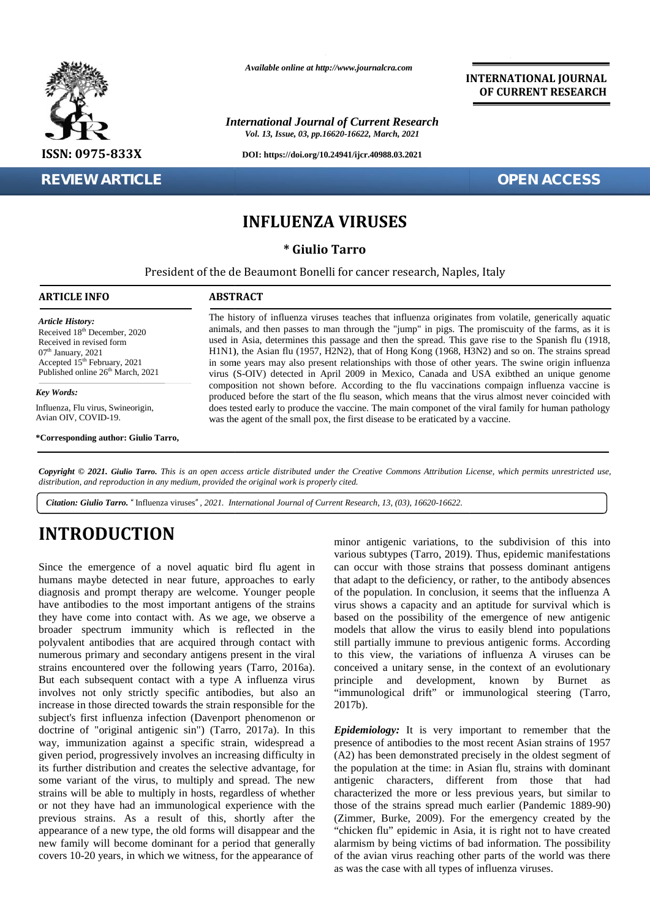

### **REVIEW ARTICLE OPEN ACCESS**

*Available online at http://www.journalcra.com*

*International Journal of Current Research Vol. 13, Issue, 03, pp.16620-16622, March, 2021*

**DOI: https://doi.org/10.24941/ijcr.40988.03.2021**

**INTERNATIONAL JOURNAL OF CURRENT RESEARCH**

## **INFLUENZA VIRUSES**

**\* Giulio Tarro**

President of the de Beaumont Bonelli for cancer research, Naples, Italy President

### **ARTICLE INFO ABSTRACT ARTICLE ABSTRACT**

*Article History: Article History:* Received 18<sup>th</sup> December, 2020 Received 18 December, 2020<br>Received in revised form  $07<sup>th</sup>$  January, 2021 Received in revised form<br>
07<sup>th</sup> January, 2021<br>
Accepted 15<sup>th</sup> February, 2021 **in** Published online  $26<sup>th</sup>$  March, 2021 **EVIEW**<br> **ARTICLE INF**<br> *Article History:*<br>
Received in revise<br>  $R^{\text{orib}}$  Deceived in revise<br>  $R^{\text{orib}}$  January, 2021<br> *Accepted 15<sup>th</sup>* Feb<br> *Key Words:*<br>
Influenza, Flu viru<br>
Avian OIV, COVI<br>
\*Corresponding :

### *Key Words:*

Influenza, Flu virus, Swineorigin, Avian OIV, COVID-19.

**\*Corresponding author: Giulio Tarro,**

The history of influenza viruses teaches that influenza originates from volatile, generically aquatic animals, and then passes to man through the "jump" in pigs. The promiscuity of the farms, as it is used in Asia, determines this passage and then the spread. This gave rise to the Spanish flu (1918, H1N1), the Asian flu (1957, H2N2), that of Hong Kong (1968, H3N2) and so on. The strains spread in some years may also present relationships with those of other years. The swine origin influenza virus (S-OIV) detected in April 2009 in Mexico, Canada and USA exibthed an unique genome composition not shown before. According to the flu vaccinations compaign influenza vaccine is produced before the start of the flu season, which means that the virus almost never coincided with does tested early to produce the vaccine. The main componet of the viral family for human pathology was the agent of the small pox, the first disease to be eraticated by a vaccine. The history of influenza viruses teaches that influenza originates from volatile, generically aquatic animals, and then passes to man through the "jump" in pigs. The promiscuity of the farms, as it is used in Asia, determi *Giulio Tarro.* Thiluenza viruses", 2021<br> *Giulio Tarro.* The *Giulio Tarro.*<br> *Giulio Tarro.*<br> *Giulio Tarro.*<br> *Giulio Tarro.*<br> *Giulio Tarro.*<br> *Giulio Tarro.*<br> *Giulio Tarro.* This is an open access article distributed

**Copyright © 2021. Giulio Tarro.** This is an open access article distributed under the Creative Commons Attribution License, which permits unrestricted use,<br>distribution, and reproduction in any medium, provided the origin *distribution, and reproduction in any medium, provided the original work is properly cited.*

*Citation: Giulio Tarro. "*Influenza viruses*", 2021. International Journal of Current Research, 13, (03), 16620-16622.*

# **INTRODUCTION INTRODUCTION**

Since the emergence of a novel aquatic bird flu agent in humans maybe detected in near future, approaches to early diagnosis and prompt therapy are welcome. Younger people have antibodies to the most important antigens of the strains they have come into contact with. As we age, we observe a broader spectrum immunity which is reflected in the polyvalent antibodies that are acquired through contact with numerous primary and secondary antigens present in the viral strains encountered over the following years (Tarro, 2016a). But each subsequent contact with a type A influenza virus principle involves not only strictly specific antibodies, but also an increase in those directed towards the strain responsible for the subject's first influenza infection (Davenport phenomenon or doctrine of "original antigenic sin") (Tarro, 2017a). In this way, immunization against a specific strain, widespread a given period, progressively involves an increasing difficulty in its further distribution and creates the selective advantage, for some variant of the virus, to multiply and spread. The new strains will be able to multiply in hosts, regardless of whether or not they have had an immunological experience with the previous strains. As a result of this, shortly after the appearance of a new type, the old forms will disappear and the new family will become dominant for a period that generally covers 10-20 years, in which we witness, for the appearance of Since the emergence of a novel aquatic bird flu agent in can occu<br>humans maybe detected in near future, approaches to early that adap<br>diagnosis and prompt therapy are welcome. Younger people of the po<br>have antibodies to th **Example the emprepare of a novel aquusic bird flu agent in carrect with these strains, to the subfivision of this into more whill can occur with those strains had promosines and promosine becomes the empressed of a norma** As  $\frac{1}{2}$  and the possibility of the finite space. The possibility of the finite space of a finite possibility of the state in the state in the state of the state in the state in the state in the state in the state in

minor antigenic variations, to the subdivision of this into various subtypes (Tarro, 2019). Thus, epidemic manifestations can occur with those strains that possess dominant antigens that adapt to the deficiency, or rather, to the antibody absences of the population. In conclusion, it seems that the influenza A virus shows a capacity and an aptitude for survival which is that adapt to the deficiency, or rather, to the antibody absences of the population. In conclusion, it seems that the influenza A virus shows a capacity and an aptitude for survival which is based on the possibility of the models that allow the virus to easily blend into populations still partially immune to previous antigenic forms. According to this view, the variations of influenza A viruses can be conceived a unitary sense, in the context of an evolutionary and development, known by Burnet as "immunological drift" or immunological steering (Tarro, 2017b). models that allow the virus to easily blend into populations<br>still partially immune to previous antigenic forms. According<br>to this view, the variations of influenza A viruses can be<br>conceived a unitary sense, in the contex mportant antigens of the strains virus shows a capacity and an aptitude for with. As we age, we observe a based on the possibility of the emergence which is reflected in the models that allow the virus to easily blend acqu

> **Epidemiology:** It is very important to remember that the presence of antibodies to the most recent Asian strains of 1957 (A2) has been demonstrated precisely in the oldest segment of the population at the time: in Asian flu, strains with dominant antigenic characters, different from those that had characterized the more or less previous years, but similar to presence of antibodies to the most recent Asian strains of 1957<br>(A2) has been demonstrated precisely in the oldest segment of<br>the population at the time: in Asian flu, strains with dominant<br>antigenic characters, different (Zimmer, Burke, 2009). For the emergency created by the "chicken flu" epidemic in Asia, it is right not to have created alarmism by being victims of bad information. The possibility of the avian virus reaching other parts of the world was there as was the case with all types of influenza viruses.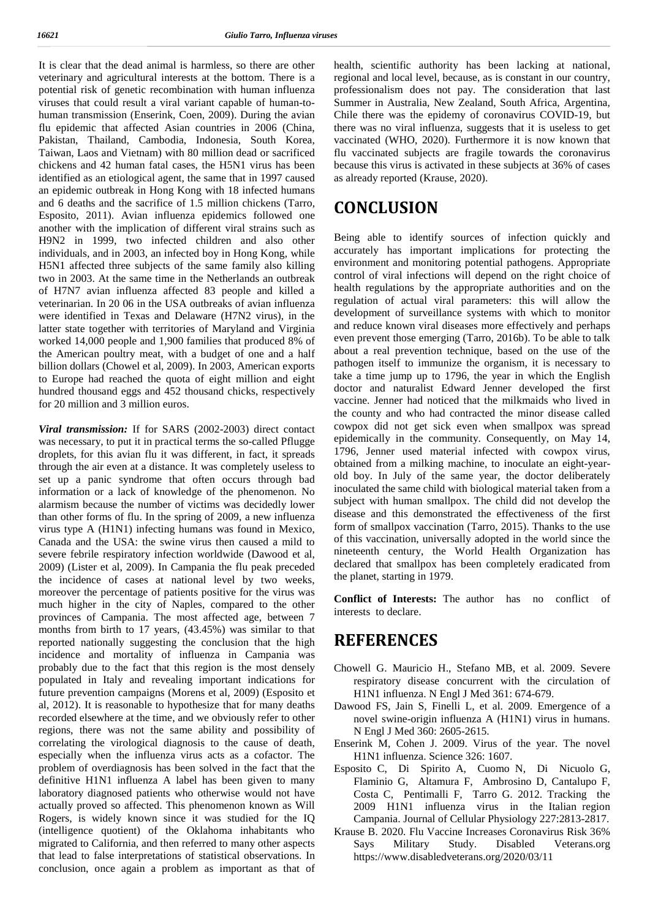It is clear that the dead animal is harmless, so there are other veterinary and agricultural interests at the bottom. There is a potential risk of genetic recombination with human influenza viruses that could result a viral variant capable of human-to human transmission (Enserink, Coen, 2009). During the avian flu epidemic that affected Asian countries in 2006 (China, Pakistan, Thailand, Cambodia, Indonesia, South Korea, Taiwan, Laos and Vietnam) with 80 million dead or sacrificed chickens and 42 human fatal cases, the H5N1 virus has been identified as an etiological agent, the same that in 1997 caused an epidemic outbreak in Hong Kong with 18 infected humans and 6 deaths and the sacrifice of 1.5 million chickens (Tarro, Esposito, 2011). Avian influenza epidemics followed one another with the implication of different viral strains such as H9N2 in 1999, two infected children and also other individuals, and in 2003, an infected boy in Hong Kong, while H5N1 affected three subjects of the same family also killing two in 2003. At the same time in the Netherlands an outbreak of H7N7 avian influenza affected 83 people and killed a veterinarian. In 20 06 in the USA outbreaks of avian influenza were identified in Texas and Delaware (H7N2 virus), in the latter state together with territories of Maryland and Virginia worked 14,000 people and 1,900 families that produced 8% of the American poultry meat, with a budget of one and a half billion dollars (Chowel et al, 2009). In 2003, American exports to Europe had reached the quota of eight million and eight hundred thousand eggs and 452 thousand chicks, respectively for 20 million and 3 million euros.

*Viral transmission:* If for SARS (2002-2003) direct contact was necessary, to put it in practical terms the so-called Pflugge droplets, for this avian flu it was different, in fact, it spreads through the air even at a distance. It was completely useless to set up a panic syndrome that often occurs through bad information or a lack of knowledge of the phenomenon. No alarmism because the number of victims was decidedly lower than other forms of flu. In the spring of 2009, a new influenza virus type A (H1N1) infecting humans was found in Mexico, Canada and the USA: the swine virus then caused a mild to severe febrile respiratory infection worldwide (Dawood et al, 2009) (Lister et al, 2009). In Campania the flu peak preceded the incidence of cases at national level by two weeks, moreover the percentage of patients positive for the virus was much higher in the city of Naples, compared to the other provinces of Campania. The most affected age, between 7 months from birth to 17 years, (43.45%) was similar to that reported nationally suggesting the conclusion that the high incidence and mortality of influenza in Campania was probably due to the fact that this region is the most densely populated in Italy and revealing important indications for future prevention campaigns (Morens et al, 2009) (Esposito et al, 2012). It is reasonable to hypothesize that for many deaths recorded elsewhere at the time, and we obviously refer to other regions, there was not the same ability and possibility of correlating the virological diagnosis to the cause of death, especially when the influenza virus acts as a cofactor. The problem of overdiagnosis has been solved in the fact that the definitive H1N1 influenza A label has been given to many laboratory diagnosed patients who otherwise would not have actually proved so affected. This phenomenon known as Will Rogers, is widely known since it was studied for the IQ (intelligence quotient) of the Oklahoma inhabitants who migrated to California, and then referred to many other aspects that lead to false interpretations of statistical observations. In conclusion, once again a problem as important as that of

health, scientific authority has been lacking at national, regional and local level, because, as is constant in our country, professionalism does not pay. The consideration that last Summer in Australia, New Zealand, South Africa, Argentina, Chile there was the epidemy of coronavirus COVID-19, but there was no viral influenza, suggests that it is useless to get vaccinated (WHO, 2020). Furthermore it is now known that flu vaccinated subjects are fragile towards the coronavirus because this virus is activated in these subjects at 36% of cases as already reported (Krause, 2020).

## **CONCLUSION**

Being able to identify sources of infection quickly and accurately has important implications for protecting the environment and monitoring potential pathogens. Appropriate control of viral infections will depend on the right choice of health regulations by the appropriate authorities and on the regulation of actual viral parameters: this will allow the development of surveillance systems with which to monitor and reduce known viral diseases more effectively and perhaps even prevent those emerging (Tarro, 2016b). To be able to talk about a real prevention technique, based on the use of the pathogen itself to immunize the organism, it is necessary to take a time jump up to 1796, the year in which the English doctor and naturalist Edward Jenner developed the first vaccine. Jenner had noticed that the milkmaids who lived in the county and who had contracted the minor disease called cowpox did not get sick even when smallpox was spread epidemically in the community. Consequently, on May 14, 1796, Jenner used material infected with cowpox virus, obtained from a milking machine, to inoculate an eight-year old boy. In July of the same year, the doctor deliberately inoculated the same child with biological material taken from a subject with human smallpox. The child did not develop the disease and this demonstrated the effectiveness of the first form of smallpox vaccination (Tarro, 2015). Thanks to the use of this vaccination, universally adopted in the world since the nineteenth century, the World Health Organization has declared that smallpox has been completely eradicated from the planet, starting in 1979.

**Conflict of Interests:** The author has no conflict of interests to declare.

## **REFERENCES**

- Chowell G. Mauricio H., Stefano MB, et al. 2009. Severe respiratory disease concurrent with the circulation of H1N1 influenza. N Engl J Med 361: 674-679.
- Dawood FS, Jain S, Finelli L, et al. 2009. Emergence of a novel swine-origin influenza A (H1N1) virus in humans. N Engl J Med 360: 2605-2615.
- Enserink M, Cohen J. 2009. Virus of the year. The novel H1N1 influenza. Science 326: 1607.
- Esposito C, Di Spirito A, Cuomo N, Di Nicuolo G, Flaminio G, Altamura F, Ambrosino D, Cantalupo F, Costa C, Pentimalli F, Tarro G. 2012. Tracking the 2009 H1N1 influenza virus in the Italian region Campania. Journal of Cellular Physiology 227:2813-2817.
- Krause B. 2020. Flu Vaccine Increases Coronavirus Risk 36% Says Military Study. Disabled Veterans.org https://www.disabledveterans.org/2020/03/11